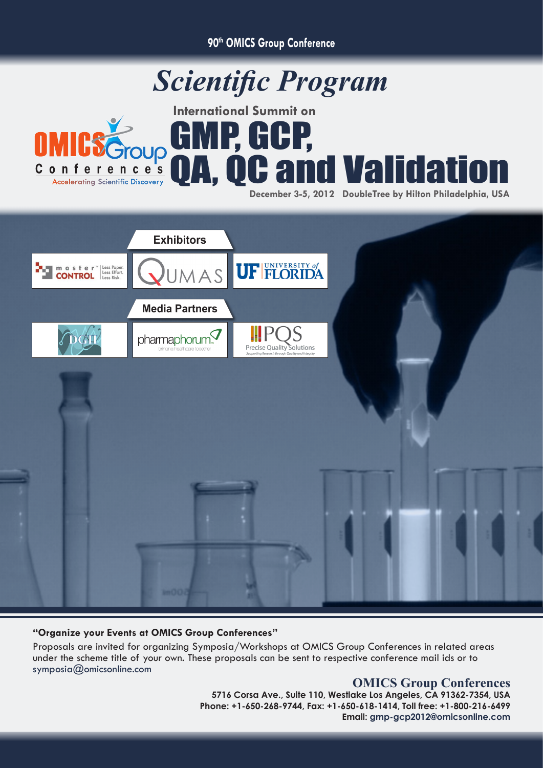**90th OMICS Group Conference**







## **"Organize your Events at OMICS Group Conferences"**

Proposals are invited for organizing Symposia/Workshops at OMICS Group Conferences in related areas under the scheme title of your own. These proposals can be sent to respective conference mail ids or to symposia@omicsonline.com

## **OMICS Group Conferences**

**5716 Corsa Ave., Suite 110, Westlake Los Angeles, CA 91362-7354, USA Phone: +1-650-268-9744, Fax: +1-650-618-1414, Toll free: +1-800-216-6499 Email: gmp-gcp2012@omicsonline.com**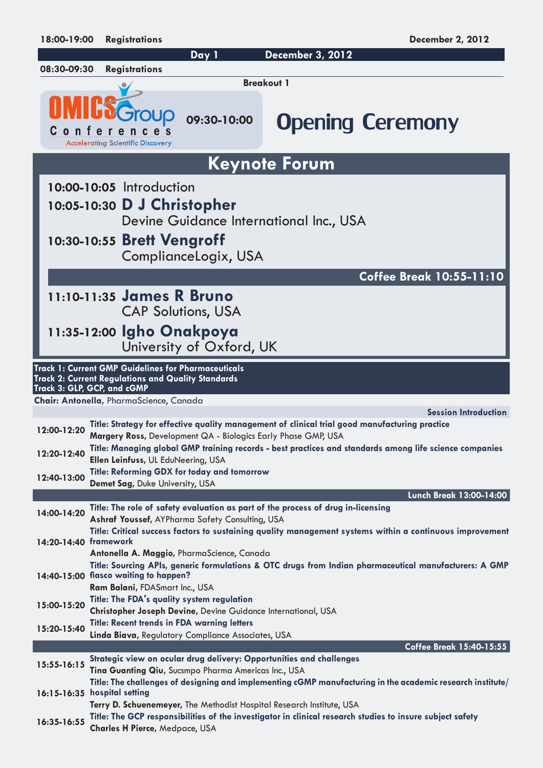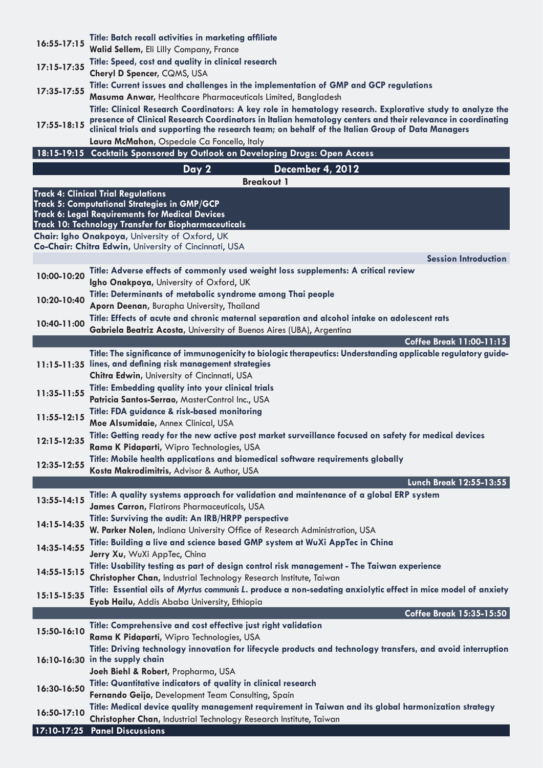| $16:55 - 17:15$                            | Title: Batch recall activities in marketing affiliate                                                                                                                                                                      |  |
|--------------------------------------------|----------------------------------------------------------------------------------------------------------------------------------------------------------------------------------------------------------------------------|--|
|                                            | Walid Sellem, Eli Lilly Company, France                                                                                                                                                                                    |  |
| $17:15 - 17:35$                            | Title: Speed, cost and quality in clinical research                                                                                                                                                                        |  |
|                                            | Cheryl D Spencer, CQMS, USA                                                                                                                                                                                                |  |
| 17:35-17:55                                | Title: Current issues and challenges in the implementation of GMP and GCP regulations                                                                                                                                      |  |
|                                            | Masuma Anwar, Healthcare Pharmaceuticals Limited, Bangladesh                                                                                                                                                               |  |
|                                            | Title: Clinical Research Coordinators: A key role in hematology research. Explorative study to analyze the<br>presence of Clinical Research Coordinators in Italian hematology centers and their relevance in coordinating |  |
| $17:55 - 18:15$                            | clinical trials and supporting the research team; on behalf of the Italian Group of Data Managers                                                                                                                          |  |
|                                            | Laura McMahon, Ospedale Ca Foncello, Italy                                                                                                                                                                                 |  |
|                                            | 18:15-19:15 Cocktails Sponsored by Outlook on Developing Drugs: Open Access                                                                                                                                                |  |
|                                            | <b>December 4, 2012</b><br>Day 2                                                                                                                                                                                           |  |
|                                            | <b>Breakout 1</b>                                                                                                                                                                                                          |  |
| <b>Track 4: Clinical Trial Regulations</b> |                                                                                                                                                                                                                            |  |
|                                            | Track 5: Computational Strategies in GMP/GCP<br><b>Track 6: Legal Requirements for Medical Devices</b>                                                                                                                     |  |
|                                            | <b>Track 10: Technology Transfer for Biopharmaceuticals</b>                                                                                                                                                                |  |
|                                            | Chair: Igho Onakpoya, University of Oxford, UK                                                                                                                                                                             |  |
|                                            | Co-Chair: Chitra Edwin, University of Cincinnati, USA                                                                                                                                                                      |  |
|                                            | <b>Session Introduction</b>                                                                                                                                                                                                |  |
| 10:00-10:20                                | Title: Adverse effects of commonly used weight loss supplements: A critical review                                                                                                                                         |  |
|                                            | Igho Onakpoya, University of Oxford, UK                                                                                                                                                                                    |  |
| 10:20-10:40                                | Title: Determinants of metabolic syndrome among Thai people                                                                                                                                                                |  |
|                                            | Aporn Deenan, Burapha University, Thailand                                                                                                                                                                                 |  |
| 10:40-11:00                                | Title: Effects of acute and chronic maternal separation and alcohol intake on adolescent rats                                                                                                                              |  |
|                                            | Gabriela Beatriz Acosta, University of Buenos Aires (UBA), Argentina<br>Coffee Break 11:00-11:15                                                                                                                           |  |
|                                            | Title: The significance of immunogenicity to biologic therapeutics: Understanding applicable regulatory guide-                                                                                                             |  |
|                                            | 11:15-11:35 lines, and defining risk management strategies                                                                                                                                                                 |  |
|                                            | Chitra Edwin, University of Cincinnati, USA                                                                                                                                                                                |  |
| 11:35-11:55                                | Title: Embedding quality into your clinical trials                                                                                                                                                                         |  |
|                                            | Patricia Santos-Serrao, MasterControl Inc., USA                                                                                                                                                                            |  |
| 11:55-12:15                                | Title: FDA guidance & risk-based monitoring                                                                                                                                                                                |  |
|                                            | Moe Alsumidaie, Annex Clinical, USA                                                                                                                                                                                        |  |
| 12:15-12:35                                | Title: Getting ready for the new active post market surveillance focused on safety for medical devices                                                                                                                     |  |
|                                            | Rama K Pidaparti, Wipro Technologies, USA                                                                                                                                                                                  |  |
| 12:35-12:55                                | Title: Mobile health applications and biomedical software requirements globally<br>Kosta Makrodimitris, Advisor & Author, USA                                                                                              |  |
|                                            | Lunch Break 12:55-13:55                                                                                                                                                                                                    |  |
|                                            | Title: A quality systems approach for validation and maintenance of a global ERP system                                                                                                                                    |  |
| 13:55-14:15                                | James Carron, Flatirons Pharmaceuticals, USA                                                                                                                                                                               |  |
|                                            | Title: Surviving the audit: An IRB/HRPP perspective                                                                                                                                                                        |  |
| 14:15-14:35                                | W. Parker Nolen, Indiana University Office of Research Administration, USA                                                                                                                                                 |  |
| 14:35-14:55                                | Title: Building a live and science based GMP system at WuXi AppTec in China                                                                                                                                                |  |
|                                            | Jerry Xu, WuXi AppTec, China                                                                                                                                                                                               |  |
| 14:55-15:15                                | Title: Usability testing as part of design control risk management - The Taiwan experience                                                                                                                                 |  |
|                                            | Christopher Chan, Industrial Technology Research Institute, Taiwan                                                                                                                                                         |  |
| 15:15-15:35                                | Title: Essential oils of Myrtus communis L. produce a non-sedating anxiolytic effect in mice model of anxiety                                                                                                              |  |
|                                            | Eyob Hailu, Addis Ababa University, Ethiopia                                                                                                                                                                               |  |
|                                            | Coffee Break 15:35-15:50<br>Title: Comprehensive and cost effective just right validation                                                                                                                                  |  |
| 15:50-16:10                                | Rama K Pidaparti, Wipro Technologies, USA                                                                                                                                                                                  |  |
|                                            | Title: Driving technology innovation for lifecycle products and technology transfers, and avoid interruption                                                                                                               |  |
|                                            | 16:10-16:30 in the supply chain                                                                                                                                                                                            |  |
|                                            | Joeh Biehl & Robert, Propharma, USA                                                                                                                                                                                        |  |
| 16:30-16:50                                | Title: Quantitative indicators of quality in clinical research                                                                                                                                                             |  |
|                                            | Fernando Geijo, Development Team Consulting, Spain                                                                                                                                                                         |  |
| 16:50-17:10                                | Title: Medical device quality management requirement in Taiwan and its global harmonization strategy                                                                                                                       |  |
|                                            | Christopher Chan, Industrial Technology Research Institute, Taiwan                                                                                                                                                         |  |
| 17:10-17:25                                | <b>Panel Discussions</b>                                                                                                                                                                                                   |  |